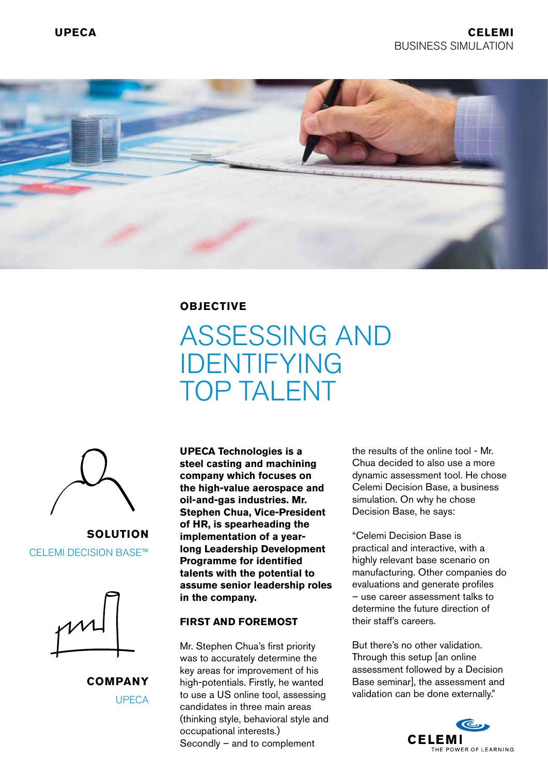

**OBJECTIVE**

# ASSESSING AND IDENTIFYING TOP TALENT



**SOLUTION** CELEMI DECISION BASE™



**COMPANY** UPECA

**UPECA Technologies is a steel casting and machining company which focuses on the high-value aerospace and oil-and-gas industries. Mr. Stephen Chua, Vice-President of HR, is spearheading the implementation of a yearlong Leadership Development Programme for identified talents with the potential to assume senior leadership roles in the company.**

#### **FIRST AND FOREMOST**

Mr. Stephen Chua's first priority was to accurately determine the key areas for improvement of his high-potentials. Firstly, he wanted to use a US online tool, assessing candidates in three main areas (thinking style, behavioral style and occupational interests.) Secondly – and to complement

the results of the online tool - Mr. Chua decided to also use a more dynamic assessment tool. He chose Celemi Decision Base, a business simulation. On why he chose Decision Base, he says:

"Celemi Decision Base is practical and interactive, with a highly relevant base scenario on manufacturing. Other companies do evaluations and generate profiles – use career assessment talks to determine the future direction of their staff's careers.

But there's no other validation. Through this setup [an online assessment followed by a Decision Base seminar], the assessment and validation can be done externally."

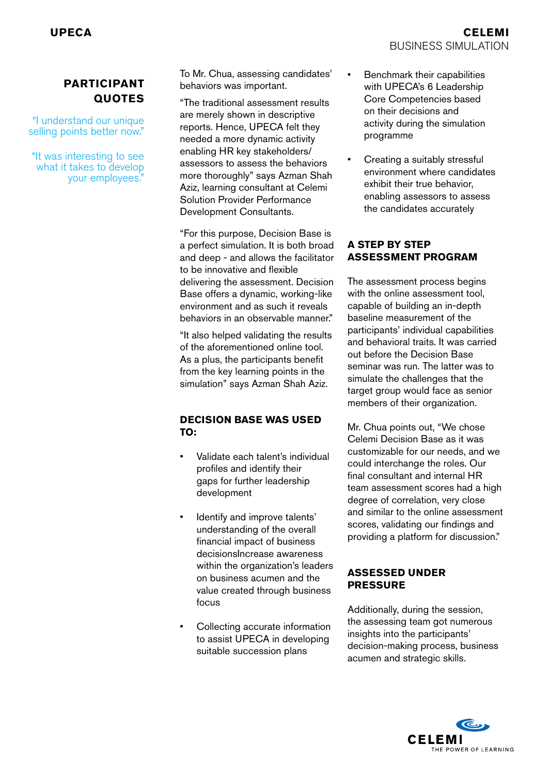## **PARTICIPANT QUOTES**

"I understand our unique selling points better now."

"It was interesting to see what it takes to develop your employees."

To Mr. Chua, assessing candidates' behaviors was important.

"The traditional assessment results are merely shown in descriptive reports. Hence, UPECA felt they needed a more dynamic activity enabling HR key stakeholders/ assessors to assess the behaviors more thoroughly" says Azman Shah Aziz, learning consultant at Celemi Solution Provider Performance Development Consultants.

"For this purpose, Decision Base is a perfect simulation. It is both broad and deep - and allows the facilitator to be innovative and flexible delivering the assessment. Decision Base offers a dynamic, working-like environment and as such it reveals behaviors in an observable manner."

"It also helped validating the results of the aforementioned online tool. As a plus, the participants benefit from the key learning points in the simulation" says Azman Shah Aziz.

#### **DECISION BASE WAS USED TO:**

- Validate each talent's individual profiles and identify their gaps for further leadership development
- Identify and improve talents' understanding of the overall financial impact of business decisionsIncrease awareness within the organization's leaders on business acumen and the value created through business focus
- Collecting accurate information to assist UPECA in developing suitable succession plans
- Benchmark their capabilities with UPECA's 6 Leadership Core Competencies based on their decisions and activity during the simulation programme
- Creating a suitably stressful environment where candidates exhibit their true behavior, enabling assessors to assess the candidates accurately

#### **A STEP BY STEP ASSESSMENT PROGRAM**

The assessment process begins with the online assessment tool, capable of building an in-depth baseline measurement of the participants' individual capabilities and behavioral traits. It was carried out before the Decision Base seminar was run. The latter was to simulate the challenges that the target group would face as senior members of their organization.

Mr. Chua points out, "We chose Celemi Decision Base as it was customizable for our needs, and we could interchange the roles. Our final consultant and internal HR team assessment scores had a high degree of correlation, very close and similar to the online assessment scores, validating our findings and providing a platform for discussion."

#### **ASSESSED UNDER PRESSURE**

Additionally, during the session, the assessing team got numerous insights into the participants' decision-making process, business acumen and strategic skills.